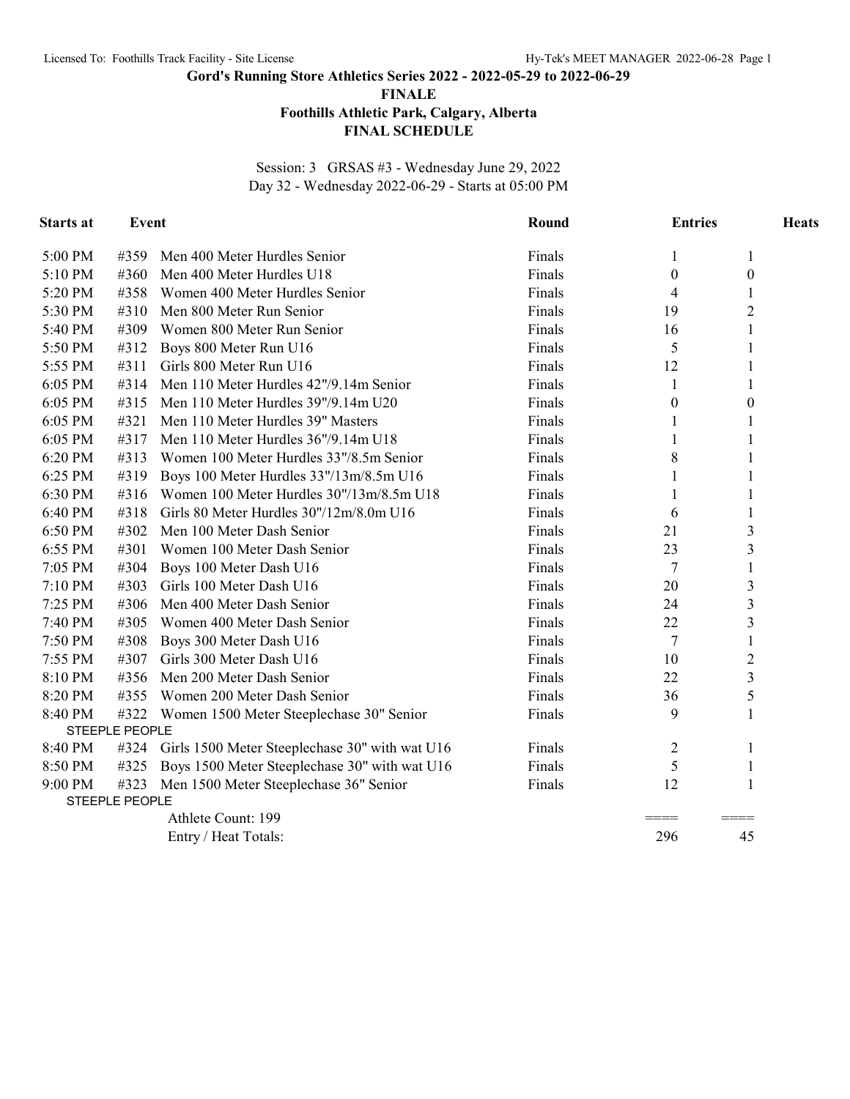**Gord's Running Store Athletics Series 2022 - 2022-05-29 to 2022-06-29**

**FINALE**

## **Foothills Athletic Park, Calgary, Alberta**

## **FINAL SCHEDULE**

Session: 3 GRSAS #3 - Wednesday June 29, 2022 Day 32 - Wednesday 2022-06-29 - Starts at 05:00 PM

| <b>Starts at</b> | <b>Event</b>                  |                                                     | Round  | <b>Entries</b> |                  | <b>Heats</b> |
|------------------|-------------------------------|-----------------------------------------------------|--------|----------------|------------------|--------------|
| 5:00 PM          | #359                          | Men 400 Meter Hurdles Senior                        | Finals | 1              | 1                |              |
| 5:10 PM          | #360                          | Men 400 Meter Hurdles U18                           | Finals | $\theta$       | $\overline{0}$   |              |
| 5:20 PM          | #358                          | Women 400 Meter Hurdles Senior                      | Finals | 4              | 1                |              |
| 5:30 PM          | #310                          | Men 800 Meter Run Senior                            | Finals | 19             | $\overline{2}$   |              |
| 5:40 PM          | #309                          | Women 800 Meter Run Senior                          | Finals | 16             | $\mathbf{1}$     |              |
| 5:50 PM          | #312                          | Boys 800 Meter Run U16                              | Finals | 5              |                  |              |
| 5:55 PM          | #311                          | Girls 800 Meter Run U16                             | Finals | 12             | 1                |              |
| 6:05 PM          | #314                          | Men 110 Meter Hurdles 42"/9.14m Senior              | Finals | 1              | 1                |              |
| 6:05 PM          | #315                          | Men 110 Meter Hurdles 39"/9.14m U20                 | Finals | $\theta$       | $\boldsymbol{0}$ |              |
| 6:05 PM          | #321                          | Men 110 Meter Hurdles 39" Masters                   | Finals |                | 1                |              |
| 6:05 PM          | #317                          | Men 110 Meter Hurdles 36"/9.14m U18                 | Finals | 1              | 1                |              |
| 6:20 PM          | #313                          | Women 100 Meter Hurdles 33"/8.5m Senior             | Finals | 8              |                  |              |
| 6:25 PM          | #319                          | Boys 100 Meter Hurdles 33"/13m/8.5m U16             | Finals | 1              |                  |              |
| 6:30 PM          | #316                          | Women 100 Meter Hurdles 30"/13m/8.5m U18            | Finals | 1              | 1                |              |
| 6:40 PM          | #318                          | Girls 80 Meter Hurdles 30"/12m/8.0m U16             | Finals | 6              | 1                |              |
| 6:50 PM          | #302                          | Men 100 Meter Dash Senior                           | Finals | 21             | 3                |              |
| 6:55 PM          | #301                          | Women 100 Meter Dash Senior                         | Finals | 23             | 3                |              |
| 7:05 PM          | #304                          | Boys 100 Meter Dash U16                             | Finals | 7              | $\mathbf{1}$     |              |
| 7:10 PM          | #303                          | Girls 100 Meter Dash U16                            | Finals | 20             | $\mathfrak{Z}$   |              |
| 7:25 PM          | #306                          | Men 400 Meter Dash Senior                           | Finals | 24             | 3                |              |
| 7:40 PM          | #305                          | Women 400 Meter Dash Senior                         | Finals | 22             | 3                |              |
| 7:50 PM          | #308                          | Boys 300 Meter Dash U16                             | Finals | 7              | 1                |              |
| 7:55 PM          | #307                          | Girls 300 Meter Dash U16                            | Finals | 10             | $\overline{2}$   |              |
| 8:10 PM          | #356                          | Men 200 Meter Dash Senior                           | Finals | 22             | 3                |              |
| 8:20 PM          | #355                          | Women 200 Meter Dash Senior                         | Finals | 36             | 5                |              |
| 8:40 PM          |                               | #322 Women 1500 Meter Steeplechase 30" Senior       | Finals | 9              | $\mathbf{1}$     |              |
|                  | STEEPLE PEOPLE                |                                                     |        |                |                  |              |
| 8:40 PM          |                               | #324 Girls 1500 Meter Steeplechase 30" with wat U16 | Finals | 2              | 1                |              |
| 8:50 PM          | #325                          | Boys 1500 Meter Steeplechase 30" with wat U16       | Finals | 5              | 1                |              |
| 9:00 PM          | #323<br><b>STEEPLE PEOPLE</b> | Men 1500 Meter Steeplechase 36" Senior              | Finals | 12             | 1                |              |
|                  |                               | Athlete Count: 199                                  |        |                |                  |              |
|                  |                               | Entry / Heat Totals:                                |        | 296            | 45               |              |